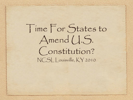Time For States to Amend (I.S. Constitution? NCSL Louisville, KY 2010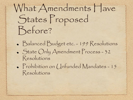What Amendments Have States Proposed Before?

- Balanced Budget etc. 199 Resolutions State Only Amendment Process - 32 Resolutions
- Prohibition on Unfunded Mandates 15 Resolutions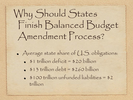# Why Should States Finish Balanced Budget Amendment Process?

- Average state share of U.S. obligations:
	- $\bullet$   $\bullet$  1 trillion deficit =  $\$20$  billion
	- $\cdot$   $\frac{13}{13}$  trillion debt =  $\frac{1260}{110}$
	- \$100 trillion unfunded liabilities = \$2 trillion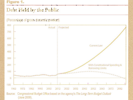#### Figure 1.

### Debt Held by the Public

#### (Percentage of gross domestic product)

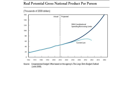#### Real Potential Gross National Product Per Person



Source: Congressional Budget Office based on the agency's The Long-Term Budget Outlook (June 2009).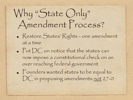### Why "State Only" Amendment Process?

- Restore States' Rights one amendment at a time
- Put DC on notice that the states can now impose a constitutional check on an over reaching federal government • Founders wanted states to be equal to DC in proposing amendments not 27-0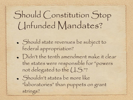### Should Constitution Stop Unfunded Mandates?

- Should state revenues be subject to federal appropriation?
- Didn't the tenth amendment make it clear the states were responsible for "powers not delegated to the  $(1.5$ ."?
- Shouldn't states be more like "laboratories" than puppets on grant strings?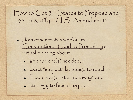### How to Get 34 States to Propose and 38 to Ratify a U.S. Amendment?

- Join other states weekly in Constitutional Road to Prosperity's virtual meeting about:
	- amendment(s) needed,
	- exact "subject" language to reach 34 firewalls against a "runaway" and strategy to finish the job.